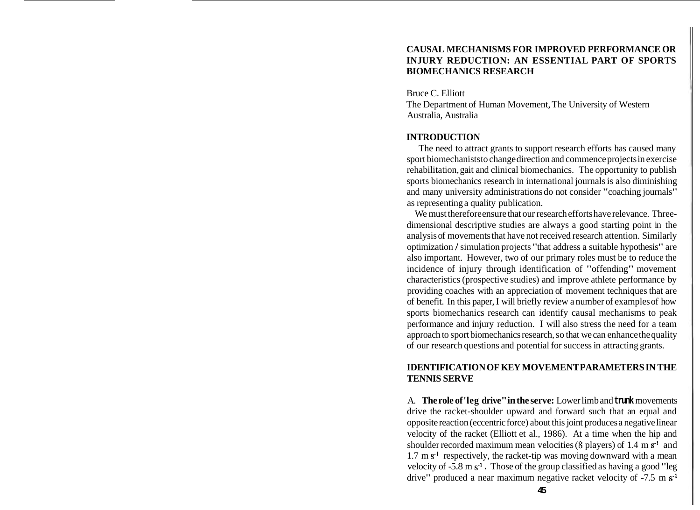### **CAUSAL MECHANISMS FOR IMPROVED PERFORMANCE OR INJURY REDUCTION: AN ESSENTIAL PART OF SPORTS BIOMECHANICS RESEARCH**

Bruce C. Elliott The Department of Human Movement, The University of Western Australia, Australia

### **INTRODUCTION**

The need to attract grants to support research efforts has caused many sport biomechanists to change direction and commence projects in exercise rehabilitation, gait and clinical biomechanics. The opportunity to publish sports biomechanics research in international journals is also diminishing and many university administrations do not consider "coaching journals" as representing a quality publication.

We must therefore ensure that our research efforts have relevance. Threedimensional descriptive studies are always a good starting point in the analysis of movements that have not received research attention. Similarly optimization / simulation projects "that address a suitable hypothesis" are also important. However, two of our primary roles must be to reduce the incidence of injury through identification of "offending" movement characteristics (prospective studies) and improve athlete performance by providing coaches with an appreciation of movement techniques that are of benefit. In this paper, I will briefly review a number of examples of how sports biomechanics research can identify causal mechanisms to peak performance and injury reduction. I will also stress the need for a team approach to sport biomechanics research, so that we can enhance the quality of our research questions and potential for success in attracting grants.

## **IDENTIFICATION OF KEY MOVEMENT PARAMETERS IN THE TENNIS SERVE**

A. **The role of 'leg drive" in the serve:** Lower limb and **trunk** movements drive the racket-shoulder upward and forward such that an equal and opposite reaction (eccentric force) about this joint produces a negative linear velocity of the racket (Elliott et al., 1986). At a time when the hip and shoulder recorded maximum mean velocities **(8** players) of 1.4 m s-' and  $1.7 \text{ m s}^1$  respectively, the racket-tip was moving downward with a mean velocity of  $-5.8 \text{ m s}^1$ . Those of the group classified as having a good "leg drive" produced a near maximum negative racket velocity of  $-7.5 \text{ m s}^{-1}$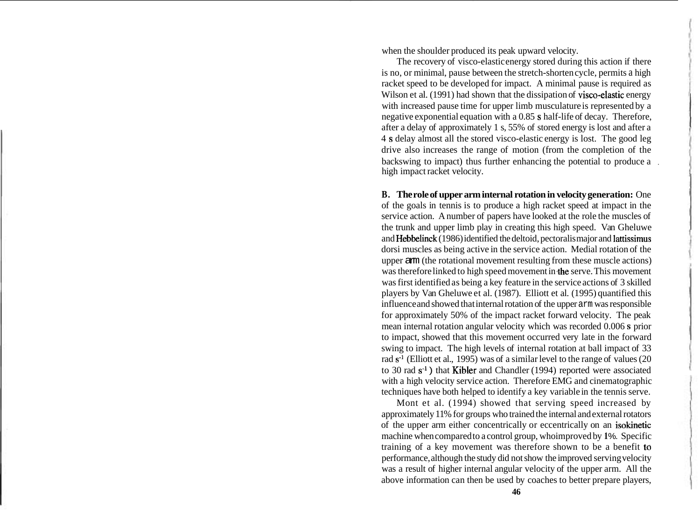when the shoulder produced its peak upward velocity.

The recovery of visco-elastic energy stored during this action if there is no, or minimal, pause between the stretch-shorten cycle, permits a high racket speed to be developed for impact. A minimal pause is required as Wilson et al. (1991) had shown that the dissipation of visco-elastic energy with increased pause time for upper limb musculature is represented by a negative exponential equation with a 0.85 s half-life of decay. Therefore, after a delay of approximately 1 s, 55% of stored energy is lost and after a 4 s delay almost all the stored visco-elastic energy is lost. The good leg drive also increases the range of motion (from the completion of the backswing to impact) thus further enhancing the potential to produce a high impact racket velocity.

**B. The role of upper arm internal rotation in velocity generation:** One of the goals in tennis is to produce a high racket speed at impact in the service action. A number of papers have looked at the role the muscles of the trunk and upper limb play in creating this high speed. Van Gheluwe and Hebbelinck (1986) identified the deltoid, pectoralis major and lattissimus dorsi muscles as being active in the service action. Medial rotation of the upper arm (the rotational movement resulting from these muscle actions) was therefore linked to high speed movement in the serve. This movement was first identified as being a key feature in the service actions of 3 skilled players by Van Gheluwe et al. (1987). Elliott et al. (1995) quantified this influence and showed that internal rotation of the upper arm was responsible for approximately 50% of the impact racket forward velocity. The peak mean internal rotation angular velocity which was recorded 0.006 s prior to impact, showed that this movement occurred very late in the forward swing to impact. The high levels of internal rotation at ball impact of 33 rad  $s<sup>-1</sup>$  (Elliott et al., 1995) was of a similar level to the range of values (20 to 30 rad  $s<sup>-1</sup>$ ) that Kibler and Chandler (1994) reported were associated with a high velocity service action. Therefore EMG and cinematographic techniques have both helped to identify a key variable in the tennis serve.

Mont et al. (1994) showed that serving speed increased by approximately 11% for groups who trained the internal and external rotators of the upper arm either concentrically or eccentrically on an isokinetic machine when compared to a control group, who improved by 1%. Specific training of a key movement was therefore shown to be a benefit to performance, although the study did not show the improved serving velocity was a result of higher internal angular velocity of the upper arm. All the above information can then be used by coaches to better prepare players,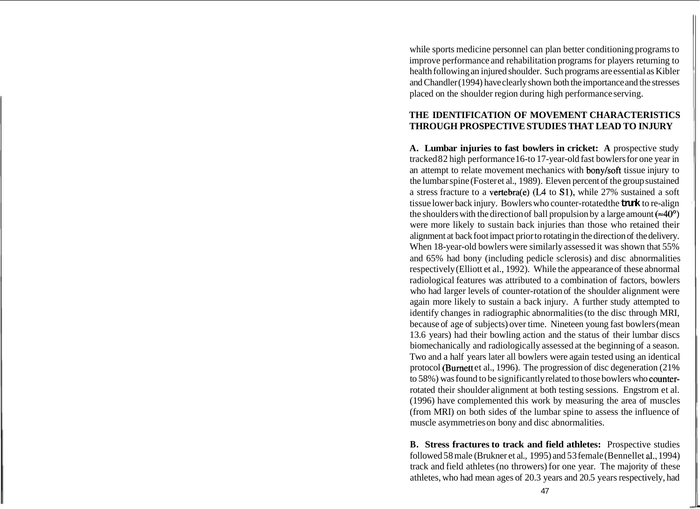while sports medicine personnel can plan better conditioning programs to improve performance and rehabilitation programs for players returning to health following an injured shoulder. Such programs are essential as Kibler and Chandler (1994) have clearly shown both the importance and the stresses placed on the shoulder region during high performance serving.

# **THE IDENTIFICATION OF MOVEMENT CHARACTERISTICS THROUGH PROSPECTIVE STUDIES THAT LEAD TO INJURY**

**A. Lumbar injuries to fast bowlers in cricket: A** prospective study tracked 82 high performance 16-to 17-year-old fast bowlers for one year in an attempt to relate movement mechanics with bonylsoft tissue injury to the lumbar spine (Foster et al., 1989). Eleven percent of the group sustained a stress fracture to a vertebra(e) **(L4** to Sl), while 27% sustained a soft tissue lower back injury. Bowlers who counter-rotated the **trunk** to re-align the shoulders with the direction of ball propulsion by a large amount ( $\approx 40^{\circ}$ ) were more likely to sustain back injuries than those who retained their alignment at back foot impact prior to rotating in the direction of the delivery. When 18-year-old bowlers were similarly assessed it was shown that 55% and 65% had bony (including pedicle sclerosis) and disc abnormalities respectively (Elliott et al., 1992). While the appearance of these abnormal radiological features was attributed to a combination of factors, bowlers who had larger levels of counter-rotation of the shoulder alignment were again more likely to sustain a back injury. A further study attempted to identify changes in radiographic abnormalities (to the disc through MRI, because of age of subjects) over time. Nineteen young fast bowlers (mean 13.6 years) had their bowling action and the status of their lumbar discs biomechanically and radiologically assessed at the beginning of a season. Two and a half years later all bowlers were again tested using an identical protocol (Burnett et al., 1996). The progression of disc degeneration (21%) to 58%) was found to be significantly related to those bowlers who counterrotated their shoulder alignment at both testing sessions. Engstrom et al. (1996) have complemented this work by measuring the area of muscles (from MRI) on both sides of the lumbar spine to assess the influence of muscle asymmetries on bony and disc abnormalities.

**B. Stress fractures to track and field athletes:** Prospective studies followed 58 male (Brukner et al., 1995) and 53 female (Bennellet **al.,** 1994) track and field athletes (no throwers) for one year. The majority of these athletes, who had mean ages of 20.3 years and 20.5 years respectively, had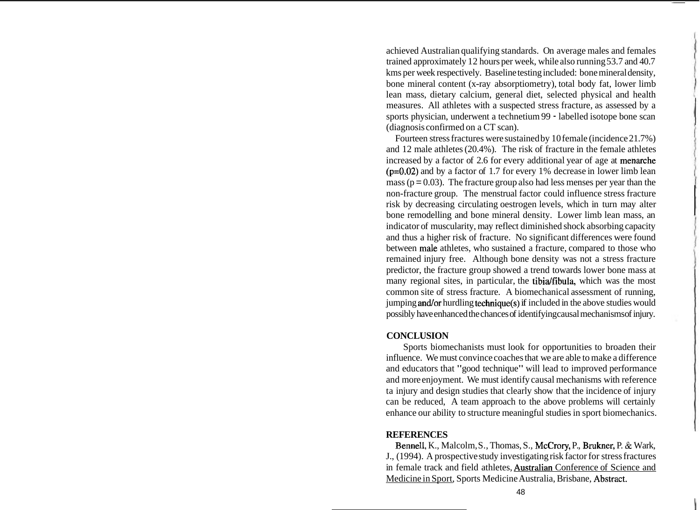achieved Australian qualifying standards. On average males and females trained approximately 12 hours per week, while also running 53.7 and 40.7 kms per week respectively. Baseline testing included: bone mineral density, bone mineral content (x-ray absorptiometry), total body fat, lower limb lean mass, dietary calcium, general diet, selected physical and health measures. All athletes with a suspected stress fracture, as assessed by a sports physician, underwent a technetium 99 - labelled isotope bone scan (diagnosis confirmed on a CT scan).

Fourteen stress fractures were sustained by 10 female (incidence 21.7%) and 12 male athletes (20.4%). The risk of fracture in the female athletes increased by a factor of 2.6 for every additional year of age at menarche  $(p=0.02)$  and by a factor of 1.7 for every 1% decrease in lower limb lean mass ( $p = 0.03$ ). The fracture group also had less menses per year than the non-fracture group. The menstrual factor could influence stress fracture risk by decreasing circulating oestrogen levels, which in turn may alter bone remodelling and bone mineral density. Lower limb lean mass, an indicator of muscularity, may reflect diminished shock absorbing capacity and thus a higher risk of fracture. No significant differences were found between male athletes, who sustained a fracture, compared to those who remained injury free. Although bone density was not a stress fracture predictor, the fracture group showed a trend towards lower bone mass at many regional sites, in particular, the tibidfibula, which was the most common site of stress fracture. A biomechanical assessment of running, jumping and/or hurdling technique $(s)$  if included in the above studies would possibly have enhanced the chances of identifying causal mechanisms of injury.

### **CONCLUSION**

Sports biomechanists must look for opportunities to broaden their influence. We must convince coaches that we are able to make a difference and educators that "good technique" will lead to improved performance and more enjoyment. We must identify causal mechanisms with reference ta injury and design studies that clearly show that the incidence of injury can be reduced, A team approach to the above problems will certainly enhance our ability to structure meaningful studies in sport biomechanics.

### **REFERENCES**

Bennell, K., Malcolm, S., Thomas, S., McCrory, P., Brukner, P. & Wark, J., (1994). A prospective study investigating risk factor for stress fractures in female track and field athletes, Australian Conference of Science and Medicine in Sport, Sports Medicine Australia, Brisbane, Abstract.